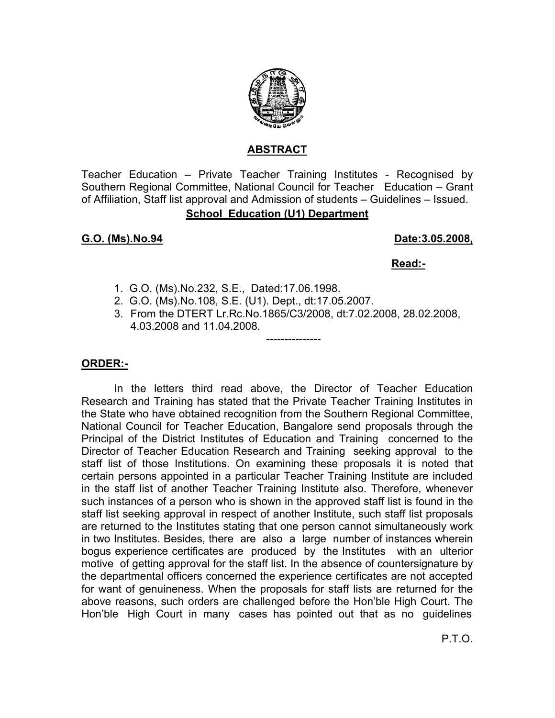

### **ABSTRACT**

Teacher Education – Private Teacher Training Institutes - Recognised by Southern Regional Committee, National Council for Teacher Education – Grant of Affiliation, Staff list approval and Admission of students – Guidelines – Issued.

## **School Education (U1) Department**

## **G.O. (Ms).No.94 Date:3.05.2008,**

#### **Read:-**

- 1. G.O. (Ms).No.232, S.E., Dated:17.06.1998.
- 2. G.O. (Ms).No.108, S.E. (U1). Dept., dt:17.05.2007.
- 3. From the DTERT Lr.Rc.No.1865/C3/2008, dt:7.02.2008, 28.02.2008, 4.03.2008 and 11.04.2008.

---------------

### **ORDER:-**

 In the letters third read above, the Director of Teacher Education Research and Training has stated that the Private Teacher Training Institutes in the State who have obtained recognition from the Southern Regional Committee, National Council for Teacher Education, Bangalore send proposals through the Principal of the District Institutes of Education and Training concerned to the Director of Teacher Education Research and Training seeking approval to the staff list of those Institutions. On examining these proposals it is noted that certain persons appointed in a particular Teacher Training Institute are included in the staff list of another Teacher Training Institute also. Therefore, whenever such instances of a person who is shown in the approved staff list is found in the staff list seeking approval in respect of another Institute, such staff list proposals are returned to the Institutes stating that one person cannot simultaneously work in two Institutes. Besides, there are also a large number of instances wherein bogus experience certificates are produced by the Institutes with an ulterior motive of getting approval for the staff list. In the absence of countersignature by the departmental officers concerned the experience certificates are not accepted for want of genuineness. When the proposals for staff lists are returned for the above reasons, such orders are challenged before the Hon'ble High Court. The Hon'ble High Court in many cases has pointed out that as no guidelines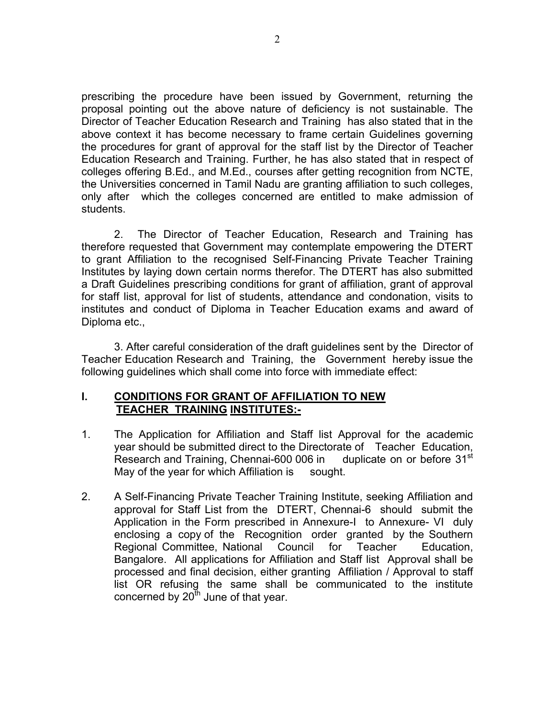prescribing the procedure have been issued by Government, returning the proposal pointing out the above nature of deficiency is not sustainable. The Director of Teacher Education Research and Training has also stated that in the above context it has become necessary to frame certain Guidelines governing the procedures for grant of approval for the staff list by the Director of Teacher Education Research and Training. Further, he has also stated that in respect of colleges offering B.Ed., and M.Ed., courses after getting recognition from NCTE, the Universities concerned in Tamil Nadu are granting affiliation to such colleges, only after which the colleges concerned are entitled to make admission of students.

 2. The Director of Teacher Education, Research and Training has therefore requested that Government may contemplate empowering the DTERT to grant Affiliation to the recognised Self-Financing Private Teacher Training Institutes by laying down certain norms therefor. The DTERT has also submitted a Draft Guidelines prescribing conditions for grant of affiliation, grant of approval for staff list, approval for list of students, attendance and condonation, visits to institutes and conduct of Diploma in Teacher Education exams and award of Diploma etc.,

 3. After careful consideration of the draft guidelines sent by the Director of Teacher Education Research and Training, the Government hereby issue the following guidelines which shall come into force with immediate effect:

#### **I. CONDITIONS FOR GRANT OF AFFILIATION TO NEW TEACHER TRAINING INSTITUTES:-**

- 1. The Application for Affiliation and Staff list Approval for the academic year should be submitted direct to the Directorate of Teacher Education, Research and Training, Chennai-600 006 in duplicate on or before 31<sup>st</sup> May of the year for which Affiliation is sought.
- 2. A Self-Financing Private Teacher Training Institute, seeking Affiliation and approval for Staff List from the DTERT, Chennai-6 should submit the Application in the Form prescribed in Annexure-I to Annexure- VI duly enclosing a copy of the Recognition order granted by the Southern Regional Committee, National Council for Teacher Education, Bangalore. All applications for Affiliation and Staff list Approval shall be processed and final decision, either granting Affiliation / Approval to staff list OR refusing the same shall be communicated to the institute concerned by  $20<sup>th</sup>$  June of that year.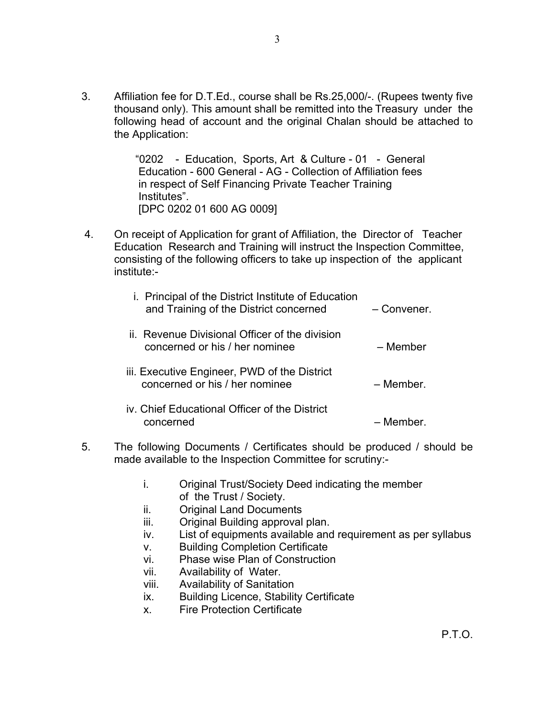3. Affiliation fee for D.T.Ed., course shall be Rs.25,000/-. (Rupees twenty five thousand only). This amount shall be remitted into the Treasury under the following head of account and the original Chalan should be attached to the Application:

> "0202 - Education, Sports, Art & Culture - 01 - General Education - 600 General - AG - Collection of Affiliation fees in respect of Self Financing Private Teacher Training Institutes". [DPC 0202 01 600 AG 0009]

 4. On receipt of Application for grant of Affiliation, the Director of Teacher Education Research and Training will instruct the Inspection Committee, consisting of the following officers to take up inspection of the applicant institute:-

| <i>i.</i> Principal of the District Institute of Education<br>and Training of the District concerned | – Convener. |
|------------------------------------------------------------------------------------------------------|-------------|
| ii. Revenue Divisional Officer of the division<br>concerned or his / her nominee                     | – Member    |
| iii. Executive Engineer, PWD of the District<br>concerned or his / her nominee                       | – Member.   |
| iv. Chief Educational Officer of the District<br>concerned                                           | – Member.   |

- 5. The following Documents / Certificates should be produced / should be made available to the Inspection Committee for scrutiny:
	- i. Original Trust/Society Deed indicating the member of the Trust / Society.
	- ii. Original Land Documents
	- iii. Original Building approval plan.
	- iv. List of equipments available and requirement as per syllabus
	- v. Building Completion Certificate
	- vi. Phase wise Plan of Construction
	- vii. Availability of Water.
	- viii. Availability of Sanitation
	- ix. Building Licence, Stability Certificate
	- x. Fire Protection Certificate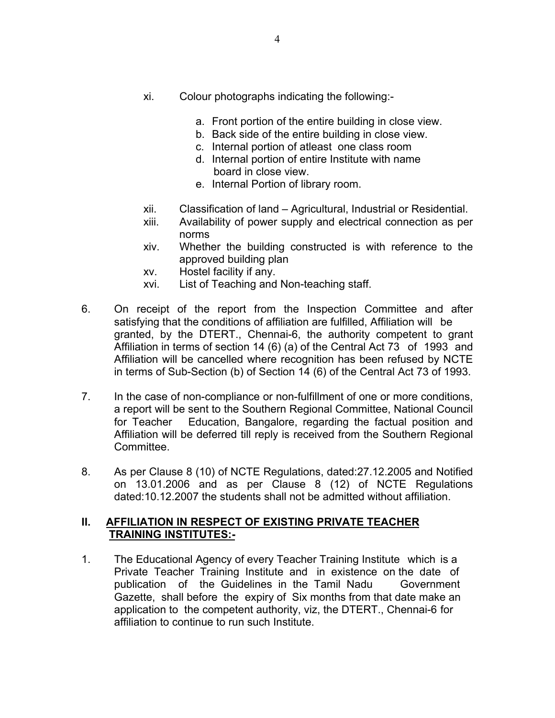- xi. Colour photographs indicating the following:
	- a. Front portion of the entire building in close view.
	- b. Back side of the entire building in close view.
	- c. Internal portion of atleast one class room
	- d. Internal portion of entire Institute with name board in close view.
	- e. Internal Portion of library room.
- xii. Classification of land Agricultural, Industrial or Residential.
- xiii. Availability of power supply and electrical connection as per norms
- xiv. Whether the building constructed is with reference to the approved building plan
- xv. Hostel facility if any.
- xvi. List of Teaching and Non-teaching staff.
- 6. On receipt of the report from the Inspection Committee and after satisfying that the conditions of affiliation are fulfilled, Affiliation will be granted, by the DTERT., Chennai-6, the authority competent to grant Affiliation in terms of section 14 (6) (a) of the Central Act 73 of 1993 and Affiliation will be cancelled where recognition has been refused by NCTE in terms of Sub-Section (b) of Section 14 (6) of the Central Act 73 of 1993.
- 7. In the case of non-compliance or non-fulfillment of one or more conditions, a report will be sent to the Southern Regional Committee, National Council for Teacher Education, Bangalore, regarding the factual position and Affiliation will be deferred till reply is received from the Southern Regional Committee.
- 8. As per Clause 8 (10) of NCTE Regulations, dated:27.12.2005 and Notified on 13.01.2006 and as per Clause 8 (12) of NCTE Regulations dated:10.12.2007 the students shall not be admitted without affiliation.

#### **II. AFFILIATION IN RESPECT OF EXISTING PRIVATE TEACHER TRAINING INSTITUTES:-**

1. The Educational Agency of every Teacher Training Institute which is a Private Teacher Training Institute and in existence on the date of publication of the Guidelines in the Tamil Nadu Government Gazette, shall before the expiry of Six months from that date make an application to the competent authority, viz, the DTERT., Chennai-6 for affiliation to continue to run such Institute.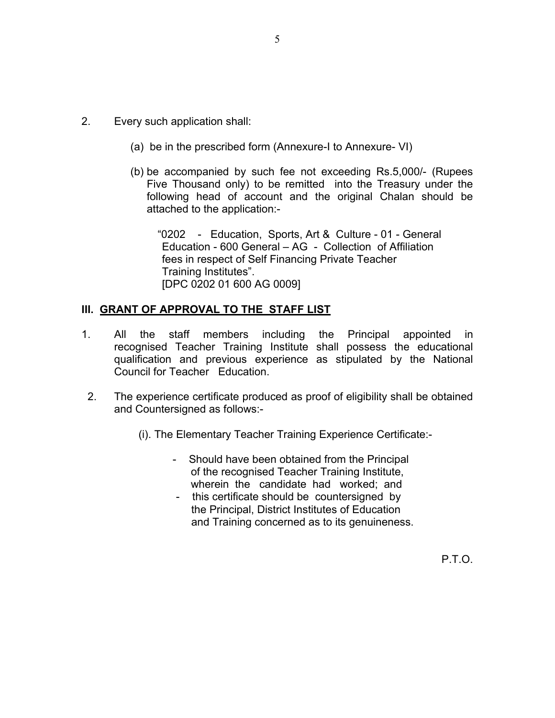- 2. Every such application shall:
	- (a) be in the prescribed form (Annexure-I to Annexure- VI)
	- (b) be accompanied by such fee not exceeding Rs.5,000/- (Rupees Five Thousand only) to be remitted into the Treasury under the following head of account and the original Chalan should be attached to the application:-

 "0202 - Education, Sports, Art & Culture - 01 - General Education - 600 General – AG - Collection of Affiliation fees in respect of Self Financing Private Teacher Training Institutes". [DPC 0202 01 600 AG 0009]

#### **III. GRANT OF APPROVAL TO THE STAFF LIST**

- 1. All the staff members including the Principal appointed in recognised Teacher Training Institute shall possess the educational qualification and previous experience as stipulated by the National Council for Teacher Education.
- 2. The experience certificate produced as proof of eligibility shall be obtained and Countersigned as follows:-
	- (i). The Elementary Teacher Training Experience Certificate:-
		- Should have been obtained from the Principal of the recognised Teacher Training Institute, wherein the candidate had worked; and
		- this certificate should be countersigned by the Principal, District Institutes of Education and Training concerned as to its genuineness.

P.T.O.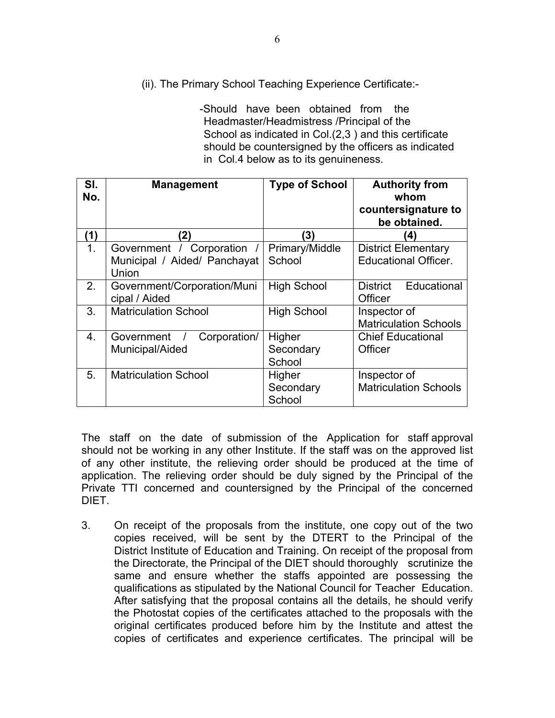(ii). The Primary School Teaching Experience Certificate:-

 -Should have been obtained from the Headmaster/Headmistress /Principal of the School as indicated in Col.(2,3 ) and this certificate should be countersigned by the officers as indicated in Col.4 below as to its genuineness.

| SI.<br>No.       | <b>Management</b>                                                 | <b>Type of School</b>         | <b>Authority from</b><br>whom<br>countersignature to<br>be obtained. |
|------------------|-------------------------------------------------------------------|-------------------------------|----------------------------------------------------------------------|
| (1)              | (2)                                                               | (3)                           | $\mathbf{A}$                                                         |
| 1 <sub>1</sub>   | Government / Corporation<br>Municipal / Aided/ Panchayat<br>Union | Primary/Middle<br>School      | <b>District Elementary</b><br><b>Educational Officer.</b>            |
| 2.               | Government/Corporation/Muni<br>cipal / Aided                      | <b>High School</b>            | Educational<br><b>District</b><br>Officer                            |
| 3.               | <b>Matriculation School</b>                                       | <b>High School</b>            | Inspector of<br><b>Matriculation Schools</b>                         |
| $\overline{4}$ . | Government<br>Corporation/<br>Municipal/Aided                     | Higher<br>Secondary<br>School | <b>Chief Educational</b><br>Officer                                  |
| 5.               | <b>Matriculation School</b>                                       | Higher<br>Secondary<br>School | Inspector of<br><b>Matriculation Schools</b>                         |

The staff on the date of submission of the Application for staff approval should not be working in any other Institute. If the staff was on the approved list of any other institute, the relieving order should be produced at the time of application. The relieving order should be duly signed by the Principal of the Private TTI concerned and countersigned by the Principal of the concerned DIET.

3. On receipt of the proposals from the institute, one copy out of the two copies received, will be sent by the DTERT to the Principal of the District Institute of Education and Training. On receipt of the proposal from the Directorate, the Principal of the DIET should thoroughly scrutinize the same and ensure whether the staffs appointed are possessing the qualifications as stipulated by the National Council for Teacher Education. After satisfying that the proposal contains all the details, he should verify the Photostat copies of the certificates attached to the proposals with the original certificates produced before him by the Institute and attest the copies of certificates and experience certificates. The principal will be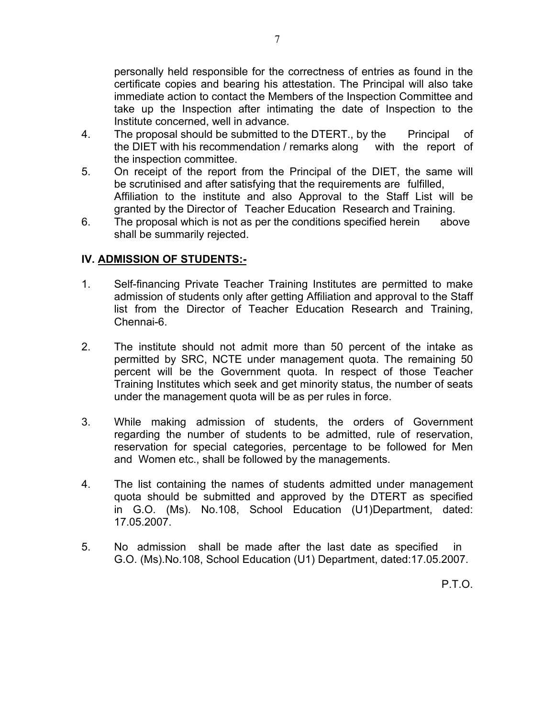personally held responsible for the correctness of entries as found in the certificate copies and bearing his attestation. The Principal will also take immediate action to contact the Members of the Inspection Committee and take up the Inspection after intimating the date of Inspection to the Institute concerned, well in advance.

- 4. The proposal should be submitted to the DTERT, by the Principal of the DIET with his recommendation / remarks along with the report of the inspection committee.
- 5. On receipt of the report from the Principal of the DIET, the same will be scrutinised and after satisfying that the requirements are fulfilled, Affiliation to the institute and also Approval to the Staff List will be granted by the Director of Teacher Education Research and Training.
- 6. The proposal which is not as per the conditions specified herein above shall be summarily rejected.

## **IV. ADMISSION OF STUDENTS:-**

- 1. Self-financing Private Teacher Training Institutes are permitted to make admission of students only after getting Affiliation and approval to the Staff list from the Director of Teacher Education Research and Training, Chennai-6.
- 2. The institute should not admit more than 50 percent of the intake as permitted by SRC, NCTE under management quota. The remaining 50 percent will be the Government quota. In respect of those Teacher Training Institutes which seek and get minority status, the number of seats under the management quota will be as per rules in force.
- 3. While making admission of students, the orders of Government regarding the number of students to be admitted, rule of reservation, reservation for special categories, percentage to be followed for Men and Women etc., shall be followed by the managements.
- 4. The list containing the names of students admitted under management quota should be submitted and approved by the DTERT as specified in G.O. (Ms). No.108, School Education (U1)Department, dated: 17.05.2007.
- 5. No admission shall be made after the last date as specified in G.O. (Ms).No.108, School Education (U1) Department, dated:17.05.2007.

P.T.O.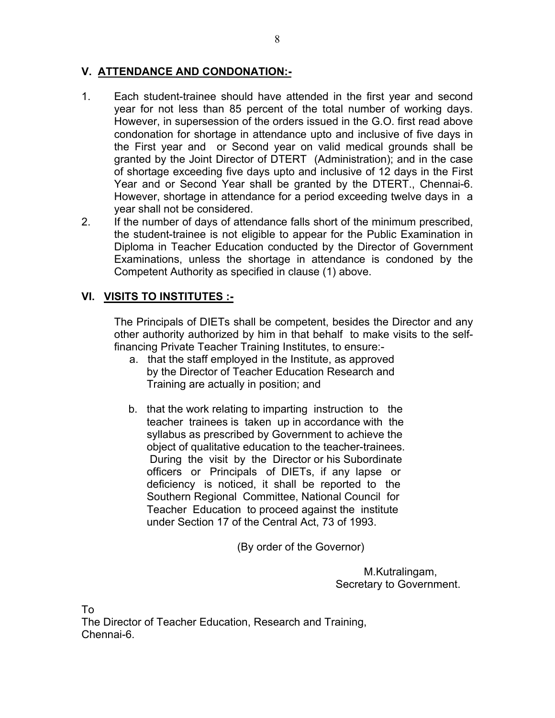## **V. ATTENDANCE AND CONDONATION:-**

- 1. Each student-trainee should have attended in the first year and second year for not less than 85 percent of the total number of working days. However, in supersession of the orders issued in the G.O. first read above condonation for shortage in attendance upto and inclusive of five days in the First year and or Second year on valid medical grounds shall be granted by the Joint Director of DTERT (Administration); and in the case of shortage exceeding five days upto and inclusive of 12 days in the First Year and or Second Year shall be granted by the DTERT., Chennai-6. However, shortage in attendance for a period exceeding twelve days in a year shall not be considered.
- 2. If the number of days of attendance falls short of the minimum prescribed, the student-trainee is not eligible to appear for the Public Examination in Diploma in Teacher Education conducted by the Director of Government Examinations, unless the shortage in attendance is condoned by the Competent Authority as specified in clause (1) above.

# **VI. VISITS TO INSTITUTES :-**

 The Principals of DIETs shall be competent, besides the Director and any other authority authorized by him in that behalf to make visits to the self financing Private Teacher Training Institutes, to ensure:-

- a. that the staff employed in the Institute, as approved by the Director of Teacher Education Research and Training are actually in position; and
- b. that the work relating to imparting instruction to the teacher trainees is taken up in accordance with the syllabus as prescribed by Government to achieve the object of qualitative education to the teacher-trainees. During the visit by the Director or his Subordinate officers or Principals of DIETs, if any lapse or deficiency is noticed, it shall be reported to the Southern Regional Committee, National Council for Teacher Education to proceed against the institute under Section 17 of the Central Act, 73 of 1993.

(By order of the Governor)

 M.Kutralingam, Secretary to Government.

To

The Director of Teacher Education, Research and Training, Chennai-6.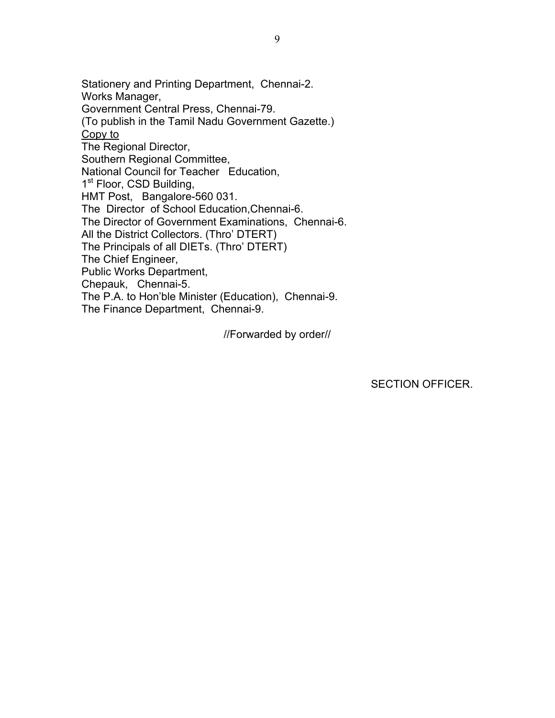Stationery and Printing Department, Chennai-2. Works Manager, Government Central Press, Chennai-79. (To publish in the Tamil Nadu Government Gazette.) Copy to The Regional Director, Southern Regional Committee, National Council for Teacher Education, 1<sup>st</sup> Floor, CSD Building, HMT Post, Bangalore-560 031. The Director of School Education,Chennai-6. The Director of Government Examinations, Chennai-6. All the District Collectors. (Thro' DTERT) The Principals of all DIETs. (Thro' DTERT) The Chief Engineer, Public Works Department, Chepauk, Chennai-5. The P.A. to Hon'ble Minister (Education), Chennai-9. The Finance Department, Chennai-9.

//Forwarded by order//

SECTION OFFICER.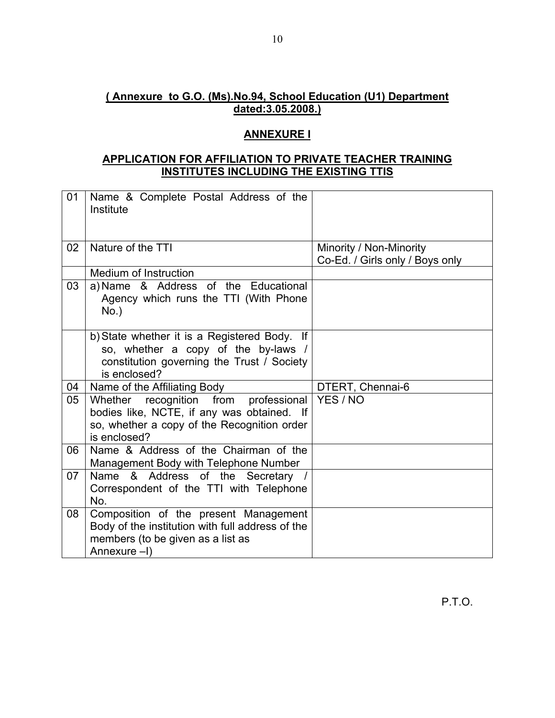# **( Annexure to G.O. (Ms).No.94, School Education (U1) Department dated:3.05.2008.)**

### **ANNEXURE I**

### **APPLICATION FOR AFFILIATION TO PRIVATE TEACHER TRAINING INSTITUTES INCLUDING THE EXISTING TTIS**

| 01 | Name & Complete Postal Address of the<br>Institute                                                                                                   |                                                            |
|----|------------------------------------------------------------------------------------------------------------------------------------------------------|------------------------------------------------------------|
| 02 | Nature of the TTI                                                                                                                                    | Minority / Non-Minority<br>Co-Ed. / Girls only / Boys only |
|    | Medium of Instruction                                                                                                                                |                                                            |
| 03 | a) Name & Address of the Educational<br>Agency which runs the TTI (With Phone<br>$No.$ )                                                             |                                                            |
|    | b) State whether it is a Registered Body.<br>lf<br>so, whether a copy of the by-laws /<br>constitution governing the Trust / Society<br>is enclosed? |                                                            |
| 04 | Name of the Affiliating Body                                                                                                                         | DTERT, Chennai-6                                           |
| 05 | Whether recognition from professional<br>bodies like, NCTE, if any was obtained. If<br>so, whether a copy of the Recognition order<br>is enclosed?   | YES / NO                                                   |
| 06 | Name & Address of the Chairman of the<br>Management Body with Telephone Number                                                                       |                                                            |
| 07 | Name & Address of the Secretary /<br>Correspondent of the TTI with Telephone<br>No.                                                                  |                                                            |
| 08 | Composition of the present Management<br>Body of the institution with full address of the<br>members (to be given as a list as<br>Annexure -I)       |                                                            |

P.T.O.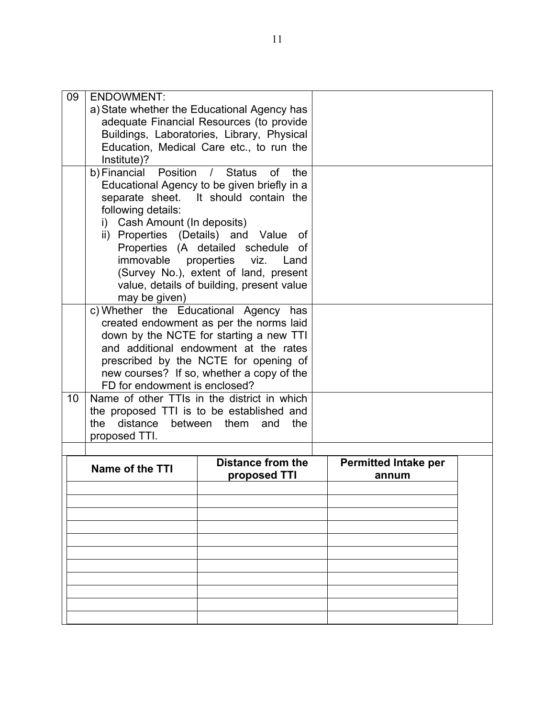| 09 | <b>ENDOWMENT:</b>                 |                                             |                             |  |
|----|-----------------------------------|---------------------------------------------|-----------------------------|--|
|    |                                   | a) State whether the Educational Agency has |                             |  |
|    |                                   | adequate Financial Resources (to provide    |                             |  |
|    |                                   | Buildings, Laboratories, Library, Physical  |                             |  |
|    |                                   | Education, Medical Care etc., to run the    |                             |  |
|    | Institute)?                       |                                             |                             |  |
|    | b) Financial Position / Status    | of the                                      |                             |  |
|    |                                   |                                             |                             |  |
|    |                                   | Educational Agency to be given briefly in a |                             |  |
|    |                                   | separate sheet. It should contain the       |                             |  |
|    | following details:                |                                             |                             |  |
|    | Cash Amount (In deposits)<br>i)   |                                             |                             |  |
|    |                                   | ii) Properties (Details) and Value of       |                             |  |
|    |                                   | Properties (A detailed schedule of          |                             |  |
|    | immovable properties              | viz. Land                                   |                             |  |
|    |                                   | (Survey No.), extent of land, present       |                             |  |
|    |                                   | value, details of building, present value   |                             |  |
|    | may be given)                     |                                             |                             |  |
|    | c) Whether the Educational Agency | has                                         |                             |  |
|    |                                   | created endowment as per the norms laid     |                             |  |
|    |                                   | down by the NCTE for starting a new TTI     |                             |  |
|    |                                   | and additional endowment at the rates       |                             |  |
|    |                                   | prescribed by the NCTE for opening of       |                             |  |
|    |                                   | new courses? If so, whether a copy of the   |                             |  |
|    | FD for endowment is enclosed?     |                                             |                             |  |
|    |                                   |                                             |                             |  |
| 10 |                                   | Name of other TTIs in the district in which |                             |  |
|    |                                   | the proposed TTI is to be established and   |                             |  |
|    | distance between them<br>the      | and<br>the                                  |                             |  |
|    | proposed TTI.                     |                                             |                             |  |
|    |                                   |                                             |                             |  |
|    | <b>Name of the TTI</b>            | <b>Distance from the</b>                    | <b>Permitted Intake per</b> |  |
|    |                                   | proposed TTI                                | annum                       |  |
|    |                                   |                                             |                             |  |
|    |                                   |                                             |                             |  |
|    |                                   |                                             |                             |  |
|    |                                   |                                             |                             |  |
|    |                                   |                                             |                             |  |
|    |                                   |                                             |                             |  |
|    |                                   |                                             |                             |  |
|    |                                   |                                             |                             |  |
|    |                                   |                                             |                             |  |
|    |                                   |                                             |                             |  |
|    |                                   |                                             |                             |  |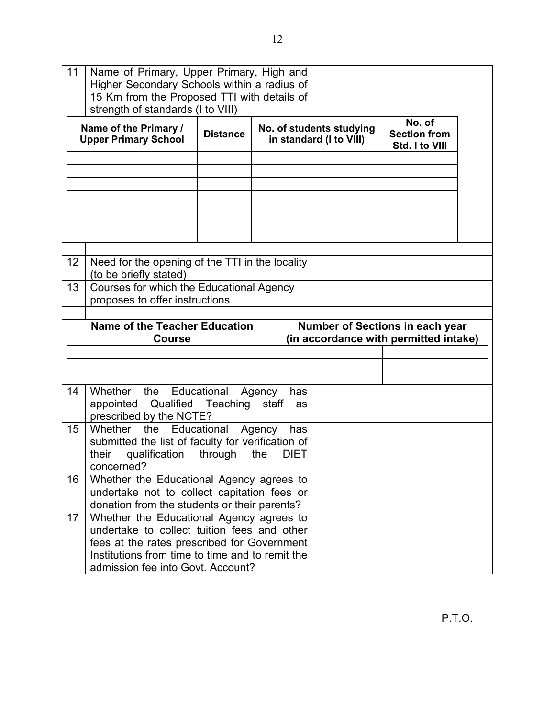| 11                                                    | Name of Primary, Upper Primary, High and<br>Higher Secondary Schools within a radius of<br>15 Km from the Proposed TTI with details of<br>strength of standards (I to VIII) |                 |                                                     |                                        |                                                 |  |
|-------------------------------------------------------|-----------------------------------------------------------------------------------------------------------------------------------------------------------------------------|-----------------|-----------------------------------------------------|----------------------------------------|-------------------------------------------------|--|
| Name of the Primary /<br><b>Upper Primary School</b>  |                                                                                                                                                                             | <b>Distance</b> | No. of students studying<br>in standard (I to VIII) |                                        | No. of<br><b>Section from</b><br>Std. I to VIII |  |
|                                                       |                                                                                                                                                                             |                 |                                                     |                                        |                                                 |  |
|                                                       |                                                                                                                                                                             |                 |                                                     |                                        |                                                 |  |
| 12                                                    | Need for the opening of the TTI in the locality<br>(to be briefly stated)                                                                                                   |                 |                                                     |                                        |                                                 |  |
| 13                                                    | Courses for which the Educational Agency<br>proposes to offer instructions                                                                                                  |                 |                                                     |                                        |                                                 |  |
| <b>Name of the Teacher Education</b><br><b>Course</b> |                                                                                                                                                                             |                 |                                                     | <b>Number of Sections in each year</b> |                                                 |  |
|                                                       |                                                                                                                                                                             |                 |                                                     |                                        | (in accordance with permitted intake)           |  |
|                                                       |                                                                                                                                                                             |                 |                                                     |                                        |                                                 |  |
| 14                                                    | Whether the Educational<br>appointed Qualified Teaching staff<br>prescribed by the NCTE?                                                                                    |                 | Agency<br>has<br>as                                 |                                        |                                                 |  |
| 15                                                    | Whether<br>the Educational<br>submitted the list of faculty for verification of<br>their<br>qualification<br>concerned?                                                     | through         | Agency<br>has<br>the<br><b>DIET</b>                 |                                        |                                                 |  |
| 16                                                    | Whether the Educational Agency agrees to<br>undertake not to collect capitation fees or<br>donation from the students or their parents?                                     |                 |                                                     |                                        |                                                 |  |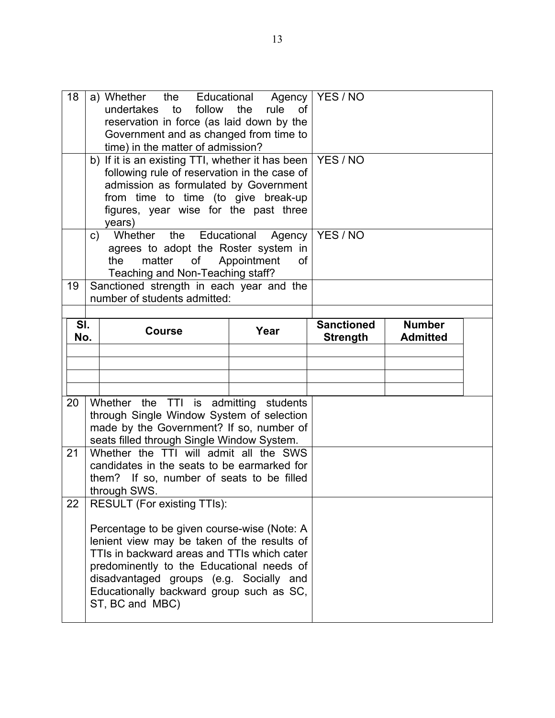| 18         |                                                                                                                                                              | a) Whether the Educational Agency   YES / NO<br>to<br>undertakes<br>follow<br>reservation in force (as laid down by the<br>Government and as changed from time to<br>time) in the matter of admission?<br>b) If it is an existing TTI, whether it has been<br>following rule of reservation in the case of<br>admission as formulated by Government<br>from time to time (to give break-up<br>figures, year wise for the past three<br>years) | 0f<br>YES / NO |                                      |                                  |  |
|------------|--------------------------------------------------------------------------------------------------------------------------------------------------------------|-----------------------------------------------------------------------------------------------------------------------------------------------------------------------------------------------------------------------------------------------------------------------------------------------------------------------------------------------------------------------------------------------------------------------------------------------|----------------|--------------------------------------|----------------------------------|--|
|            | Whether the Educational Agency<br>C)<br>agrees to adopt the Roster system in<br>of<br>Appointment<br>the<br>matter<br>οf<br>Teaching and Non-Teaching staff? |                                                                                                                                                                                                                                                                                                                                                                                                                                               |                | YES / NO                             |                                  |  |
| 19         |                                                                                                                                                              | Sanctioned strength in each year and the<br>number of students admitted:                                                                                                                                                                                                                                                                                                                                                                      |                |                                      |                                  |  |
| SI.<br>No. |                                                                                                                                                              | <b>Course</b>                                                                                                                                                                                                                                                                                                                                                                                                                                 | Year           | <b>Sanctioned</b><br><b>Strength</b> | <b>Number</b><br><b>Admitted</b> |  |
|            |                                                                                                                                                              |                                                                                                                                                                                                                                                                                                                                                                                                                                               |                |                                      |                                  |  |
|            |                                                                                                                                                              |                                                                                                                                                                                                                                                                                                                                                                                                                                               |                |                                      |                                  |  |
| 20         |                                                                                                                                                              | Whether the TTI is admitting students<br>through Single Window System of selection<br>made by the Government? If so, number of                                                                                                                                                                                                                                                                                                                |                |                                      |                                  |  |
| 21         |                                                                                                                                                              | seats filled through Single Window System.<br>Whether the TTI will admit all the SWS<br>candidates in the seats to be earmarked for<br>them? If so, number of seats to be filled<br>through SWS.                                                                                                                                                                                                                                              |                |                                      |                                  |  |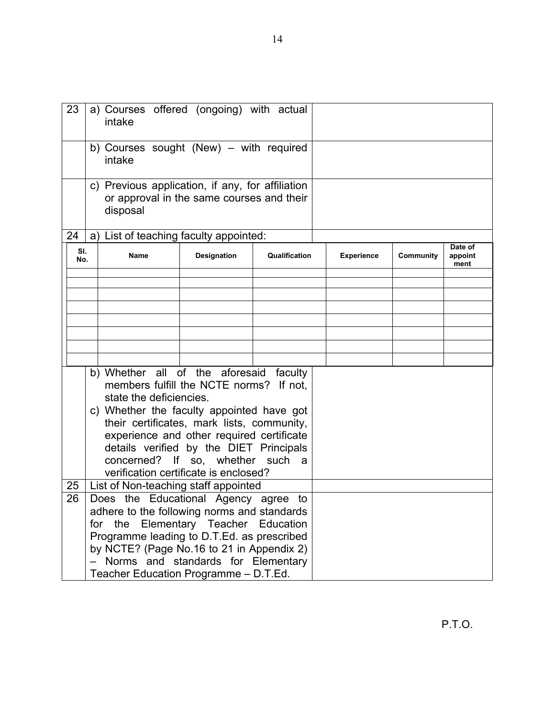| <b>Community</b> | Date of<br>appoint<br>ment |
|------------------|----------------------------|
|                  |                            |
|                  |                            |
|                  |                            |
|                  |                            |
|                  |                            |
|                  |                            |
|                  |                            |
|                  |                            |
|                  |                            |
|                  |                            |
|                  |                            |
|                  |                            |
|                  |                            |
|                  |                            |
|                  |                            |
|                  |                            |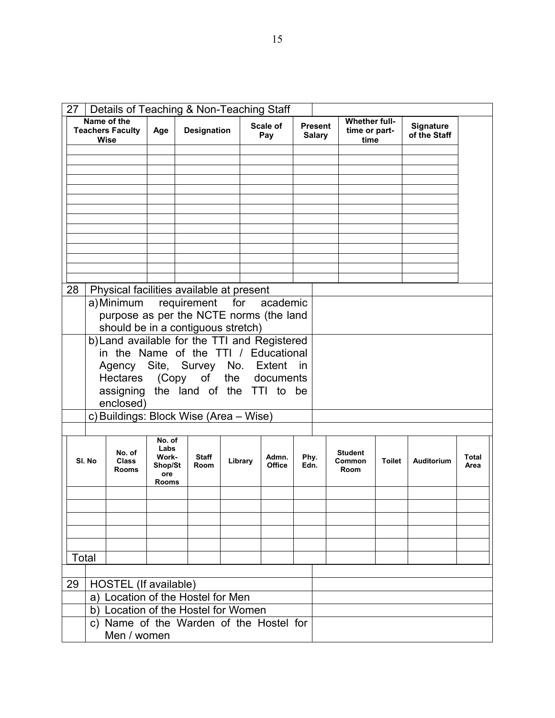| Name of the<br><b>Whether full-</b><br>Scale of<br><b>Present</b><br><b>Signature</b><br><b>Teachers Faculty</b><br><b>Designation</b><br>Age<br>time or part-<br>of the Staff<br><b>Salary</b><br>Pay<br><b>Wise</b><br>time |  |
|-------------------------------------------------------------------------------------------------------------------------------------------------------------------------------------------------------------------------------|--|
|                                                                                                                                                                                                                               |  |
|                                                                                                                                                                                                                               |  |
|                                                                                                                                                                                                                               |  |
|                                                                                                                                                                                                                               |  |
|                                                                                                                                                                                                                               |  |
|                                                                                                                                                                                                                               |  |
|                                                                                                                                                                                                                               |  |
|                                                                                                                                                                                                                               |  |
|                                                                                                                                                                                                                               |  |
|                                                                                                                                                                                                                               |  |
| 28<br>Physical facilities available at present<br>for<br>academic                                                                                                                                                             |  |
| a) Minimum<br>requirement<br>purpose as per the NCTE norms (the land                                                                                                                                                          |  |
| should be in a contiguous stretch)                                                                                                                                                                                            |  |
| b) Land available for the TTI and Registered                                                                                                                                                                                  |  |
| in the Name of the TTI / Educational                                                                                                                                                                                          |  |
| Agency Site, Survey No. Extent in<br>Hectares (Copy of the documents                                                                                                                                                          |  |
| assigning the land of the TTI to be                                                                                                                                                                                           |  |
| enclosed)                                                                                                                                                                                                                     |  |
| c) Buildings: Block Wise (Area - Wise)                                                                                                                                                                                        |  |
| No. of                                                                                                                                                                                                                        |  |
| Labs<br>No. of<br><b>Student</b><br>Work-<br><b>Staff</b><br>Admn.<br>Phy.<br>Total<br>SI. No<br>Library<br><b>Class</b><br>Common<br><b>Toilet</b><br>Auditorium                                                             |  |
| Office<br>Shop/St<br>Room<br>Edn.<br>Area<br>Room<br><b>Rooms</b><br>ore                                                                                                                                                      |  |
| <b>Rooms</b>                                                                                                                                                                                                                  |  |
|                                                                                                                                                                                                                               |  |
|                                                                                                                                                                                                                               |  |
|                                                                                                                                                                                                                               |  |
| Total                                                                                                                                                                                                                         |  |
|                                                                                                                                                                                                                               |  |
| HOSTEL (If available)<br>29                                                                                                                                                                                                   |  |
| a) Location of the Hostel for Men                                                                                                                                                                                             |  |
| b) Location of the Hostel for Women                                                                                                                                                                                           |  |
| c) Name of the Warden of the Hostel for<br>Men / women                                                                                                                                                                        |  |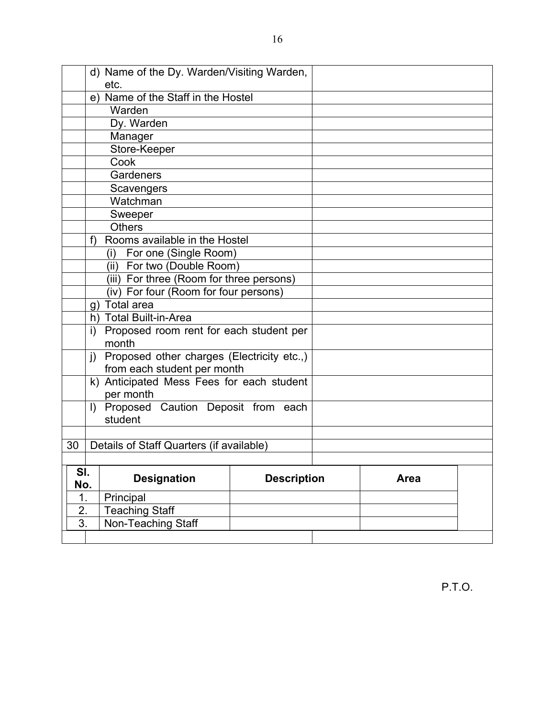|                  | d) Name of the Dy. Warden/Visiting Warden, |                                                  |                    |  |      |  |
|------------------|--------------------------------------------|--------------------------------------------------|--------------------|--|------|--|
|                  |                                            | etc.                                             |                    |  |      |  |
|                  |                                            | e) Name of the Staff in the Hostel               |                    |  |      |  |
|                  |                                            | Warden                                           |                    |  |      |  |
|                  |                                            | Dy. Warden                                       |                    |  |      |  |
|                  |                                            | Manager                                          |                    |  |      |  |
|                  |                                            | Store-Keeper                                     |                    |  |      |  |
|                  |                                            | Cook                                             |                    |  |      |  |
|                  |                                            | Gardeners                                        |                    |  |      |  |
|                  |                                            | Scavengers                                       |                    |  |      |  |
|                  |                                            | Watchman                                         |                    |  |      |  |
|                  |                                            | Sweeper                                          |                    |  |      |  |
|                  |                                            | <b>Others</b>                                    |                    |  |      |  |
|                  | f)                                         | Rooms available in the Hostel                    |                    |  |      |  |
|                  |                                            | (i) For one (Single Room)                        |                    |  |      |  |
|                  |                                            | (ii) For two (Double Room)                       |                    |  |      |  |
|                  |                                            | (iii) For three (Room for three persons)         |                    |  |      |  |
|                  |                                            | (iv) For four (Room for four persons)            |                    |  |      |  |
|                  |                                            | g) Total area                                    |                    |  |      |  |
|                  |                                            | h) Total Built-in-Area                           |                    |  |      |  |
|                  | i)                                         | Proposed room rent for each student per          |                    |  |      |  |
|                  |                                            | month                                            |                    |  |      |  |
|                  |                                            | j) Proposed other charges (Electricity etc.,)    |                    |  |      |  |
|                  |                                            | from each student per month                      |                    |  |      |  |
|                  |                                            | k) Anticipated Mess Fees for each student        |                    |  |      |  |
|                  |                                            | per month                                        |                    |  |      |  |
|                  |                                            | I) Proposed Caution Deposit from each<br>student |                    |  |      |  |
|                  |                                            |                                                  |                    |  |      |  |
| 30               |                                            | Details of Staff Quarters (if available)         |                    |  |      |  |
|                  |                                            |                                                  |                    |  |      |  |
| SI.              |                                            |                                                  |                    |  |      |  |
| No.              |                                            | <b>Designation</b>                               | <b>Description</b> |  | Area |  |
| 1.               |                                            | Principal                                        |                    |  |      |  |
| 2.               |                                            | <b>Teaching Staff</b>                            |                    |  |      |  |
| $\overline{3}$ . |                                            | Non-Teaching Staff                               |                    |  |      |  |
|                  |                                            |                                                  |                    |  |      |  |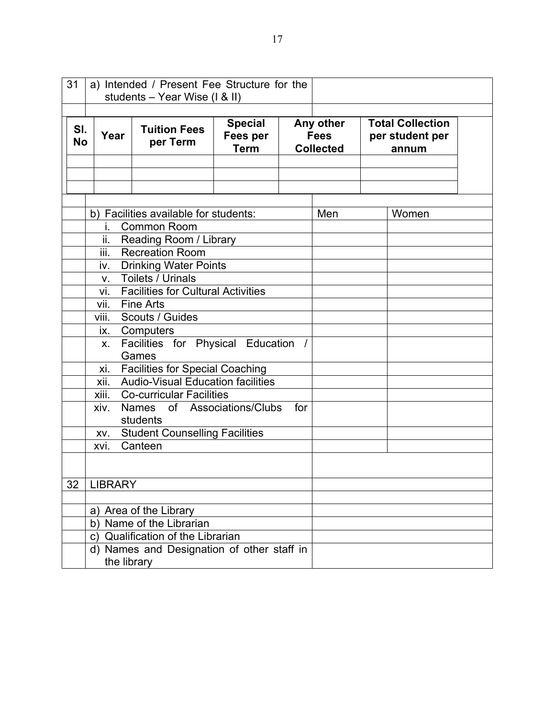| 31<br>a) Intended / Present Fee Structure for the<br>students - Year Wise (I & II) |                   |                                                                                                                 |                                           |     |                                              |                                                     |  |  |
|------------------------------------------------------------------------------------|-------------------|-----------------------------------------------------------------------------------------------------------------|-------------------------------------------|-----|----------------------------------------------|-----------------------------------------------------|--|--|
| SI.<br><b>No</b>                                                                   | Year              | <b>Tuition Fees</b><br>per Term                                                                                 | <b>Special</b><br>Fees per<br><b>Term</b> |     | Any other<br><b>Fees</b><br><b>Collected</b> | <b>Total Collection</b><br>per student per<br>annum |  |  |
|                                                                                    |                   |                                                                                                                 |                                           |     |                                              |                                                     |  |  |
|                                                                                    | i.<br>ii.<br>iii. | b) Facilities available for students:<br><b>Common Room</b><br>Reading Room / Library<br><b>Recreation Room</b> | Men                                       |     | Women                                        |                                                     |  |  |
|                                                                                    | iv.<br>V.         | <b>Drinking Water Points</b><br>Toilets / Urinals                                                               |                                           |     |                                              |                                                     |  |  |
|                                                                                    | vi.<br>vii.       | <b>Facilities for Cultural Activities</b><br><b>Fine Arts</b>                                                   |                                           |     |                                              |                                                     |  |  |
|                                                                                    | viii.<br>ix.      | Scouts / Guides<br>Computers                                                                                    |                                           |     |                                              |                                                     |  |  |
|                                                                                    | X.                | Facilities for Physical Education /<br>Games                                                                    |                                           |     |                                              |                                                     |  |  |
|                                                                                    | xi.<br>xii.       | <b>Facilities for Special Coaching</b><br><b>Audio-Visual Education facilities</b>                              |                                           |     |                                              |                                                     |  |  |
|                                                                                    | xiii.             | <b>Co-curricular Facilities</b>                                                                                 |                                           |     |                                              |                                                     |  |  |
|                                                                                    | xiv.              | Names<br>students                                                                                               | of Associations/Clubs                     | for |                                              |                                                     |  |  |
|                                                                                    | XV.               | <b>Student Counselling Facilities</b>                                                                           |                                           |     |                                              |                                                     |  |  |
|                                                                                    | Canteen<br>xvi.   |                                                                                                                 |                                           |     |                                              |                                                     |  |  |
| 32                                                                                 | <b>LIBRARY</b>    |                                                                                                                 |                                           |     |                                              |                                                     |  |  |
|                                                                                    |                   | a) Area of the Library<br>b) Name of the Librarian                                                              |                                           |     |                                              |                                                     |  |  |
|                                                                                    |                   | c) Qualification of the Librarian<br>d) Names and Designation of other staff in                                 |                                           |     |                                              |                                                     |  |  |
| the library                                                                        |                   |                                                                                                                 |                                           |     |                                              |                                                     |  |  |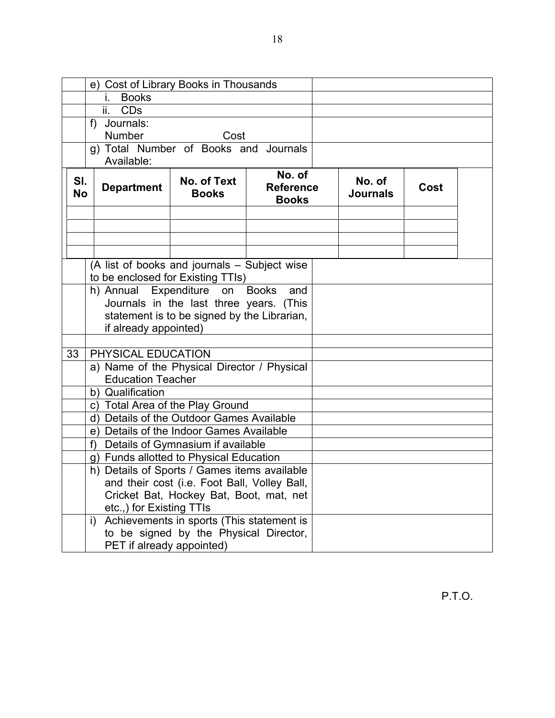|    | e) Cost of Library Books in Thousands |                                                                                   |                                              |                                            |                           |      |  |
|----|---------------------------------------|-----------------------------------------------------------------------------------|----------------------------------------------|--------------------------------------------|---------------------------|------|--|
|    |                                       | <b>Books</b><br>L.                                                                |                                              |                                            |                           |      |  |
|    |                                       | ii.<br><b>CDs</b>                                                                 |                                              |                                            |                           |      |  |
|    | f) Journals:                          |                                                                                   |                                              |                                            |                           |      |  |
|    |                                       | <b>Number</b>                                                                     | Cost                                         |                                            |                           |      |  |
|    | g) Total Number of Books and Journals |                                                                                   |                                              |                                            |                           |      |  |
|    |                                       | Available:                                                                        |                                              |                                            |                           |      |  |
|    | SI.<br><b>No</b>                      | <b>Department</b>                                                                 | No. of Text<br><b>Books</b>                  | No. of<br><b>Reference</b><br><b>Books</b> | No. of<br><b>Journals</b> | Cost |  |
|    |                                       |                                                                                   |                                              |                                            |                           |      |  |
|    |                                       |                                                                                   |                                              |                                            |                           |      |  |
|    |                                       |                                                                                   |                                              |                                            |                           |      |  |
|    |                                       |                                                                                   |                                              |                                            |                           |      |  |
|    |                                       | (A list of books and journals - Subject wise<br>to be enclosed for Existing TTIs) |                                              |                                            |                           |      |  |
|    |                                       | h) Annual Expenditure on Books                                                    |                                              | and                                        |                           |      |  |
|    |                                       |                                                                                   | Journals in the last three years. (This      |                                            |                           |      |  |
|    |                                       |                                                                                   | statement is to be signed by the Librarian,  |                                            |                           |      |  |
|    |                                       | if already appointed)                                                             |                                              |                                            |                           |      |  |
|    |                                       |                                                                                   |                                              |                                            |                           |      |  |
| 33 |                                       | PHYSICAL EDUCATION                                                                |                                              |                                            |                           |      |  |
|    |                                       | a) Name of the Physical Director / Physical                                       |                                              |                                            |                           |      |  |
|    |                                       | <b>Education Teacher</b>                                                          |                                              |                                            |                           |      |  |
|    |                                       | b) Qualification                                                                  |                                              |                                            |                           |      |  |
|    |                                       | c) Total Area of the Play Ground                                                  |                                              |                                            |                           |      |  |
|    |                                       | d) Details of the Outdoor Games Available                                         |                                              |                                            |                           |      |  |
|    |                                       | e) Details of the Indoor Games Available                                          |                                              |                                            |                           |      |  |
|    |                                       | f)                                                                                | Details of Gymnasium if available            |                                            |                           |      |  |
|    |                                       | g) Funds allotted to Physical Education                                           |                                              |                                            |                           |      |  |
|    |                                       | h) Details of Sports / Games items available                                      |                                              |                                            |                           |      |  |
|    |                                       |                                                                                   | and their cost (i.e. Foot Ball, Volley Ball, |                                            |                           |      |  |
|    |                                       |                                                                                   | Cricket Bat, Hockey Bat, Boot, mat, net      |                                            |                           |      |  |
|    |                                       | etc.,) for Existing TTIs                                                          |                                              |                                            |                           |      |  |
|    |                                       | i)                                                                                | Achievements in sports (This statement is    |                                            |                           |      |  |
|    |                                       |                                                                                   | to be signed by the Physical Director,       |                                            |                           |      |  |
|    | PET if already appointed)             |                                                                                   |                                              |                                            |                           |      |  |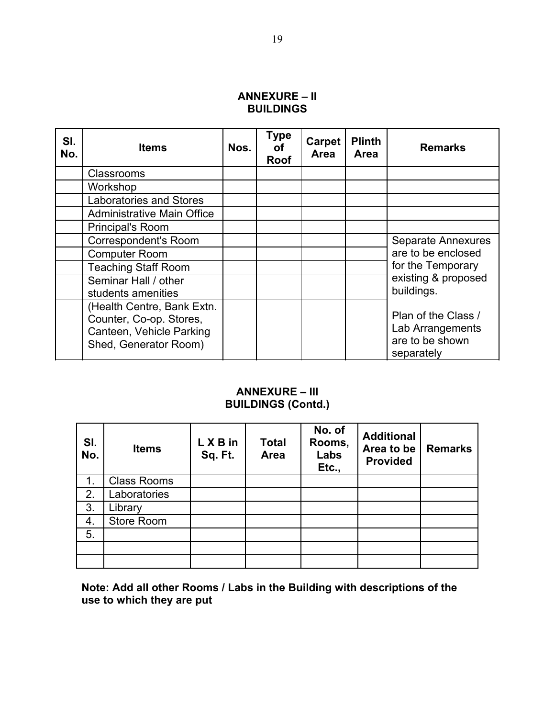#### **ANNEXURE – II BUILDINGS**

| SI.<br>No. | <b>Items</b>                                                                                               | Nos. | Type<br>оf<br><b>Roof</b> | Carpet<br><b>Area</b> | <b>Plinth</b><br><b>Area</b> | <b>Remarks</b>                                                           |
|------------|------------------------------------------------------------------------------------------------------------|------|---------------------------|-----------------------|------------------------------|--------------------------------------------------------------------------|
|            | <b>Classrooms</b>                                                                                          |      |                           |                       |                              |                                                                          |
|            | Workshop                                                                                                   |      |                           |                       |                              |                                                                          |
|            | <b>Laboratories and Stores</b>                                                                             |      |                           |                       |                              |                                                                          |
|            | <b>Administrative Main Office</b>                                                                          |      |                           |                       |                              |                                                                          |
|            | Principal's Room                                                                                           |      |                           |                       |                              |                                                                          |
|            | <b>Correspondent's Room</b>                                                                                |      |                           |                       |                              | <b>Separate Annexures</b>                                                |
|            | <b>Computer Room</b>                                                                                       |      |                           |                       |                              | are to be enclosed                                                       |
|            | <b>Teaching Staff Room</b>                                                                                 |      |                           |                       |                              | for the Temporary                                                        |
|            | Seminar Hall / other<br>students amenities                                                                 |      |                           |                       |                              | existing & proposed<br>buildings.                                        |
|            | (Health Centre, Bank Extn.<br>Counter, Co-op. Stores,<br>Canteen, Vehicle Parking<br>Shed, Generator Room) |      |                           |                       |                              | Plan of the Class /<br>Lab Arrangements<br>are to be shown<br>separately |

#### **ANNEXURE – III BUILDINGS (Contd.)**

| SI.<br>No. | <b>Items</b>       | L X B in<br>Sq. Ft. | <b>Total</b><br>Area | No. of<br>Rooms,<br>Labs<br>Etc., | <b>Additional</b><br>Area to be<br><b>Provided</b> | <b>Remarks</b> |
|------------|--------------------|---------------------|----------------------|-----------------------------------|----------------------------------------------------|----------------|
| 1.         | <b>Class Rooms</b> |                     |                      |                                   |                                                    |                |
| 2.         | Laboratories       |                     |                      |                                   |                                                    |                |
| 3.         | Library            |                     |                      |                                   |                                                    |                |
| 4.         | Store Room         |                     |                      |                                   |                                                    |                |
| 5.         |                    |                     |                      |                                   |                                                    |                |
|            |                    |                     |                      |                                   |                                                    |                |
|            |                    |                     |                      |                                   |                                                    |                |

**Note: Add all other Rooms / Labs in the Building with descriptions of the use to which they are put**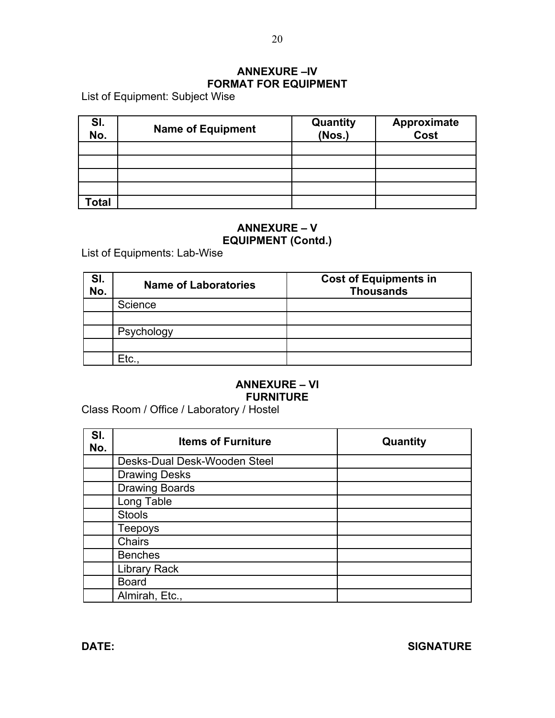# **ANNEXURE –IV FORMAT FOR EQUIPMENT**

List of Equipment: Subject Wise

| SI.<br>No. | <b>Name of Equipment</b> | Quantity<br>(Nos.) | Approximate<br>Cost |
|------------|--------------------------|--------------------|---------------------|
|            |                          |                    |                     |
|            |                          |                    |                     |
|            |                          |                    |                     |
|            |                          |                    |                     |
| otal       |                          |                    |                     |

#### **ANNEXURE – V EQUIPMENT (Contd.)**

List of Equipments: Lab-Wise

| SI.<br>No. | <b>Name of Laboratories</b> | <b>Cost of Equipments in</b><br><b>Thousands</b> |
|------------|-----------------------------|--------------------------------------------------|
|            | Science                     |                                                  |
|            |                             |                                                  |
|            | Psychology                  |                                                  |
|            |                             |                                                  |
|            | Etc.                        |                                                  |

# **ANNEXURE – VI FURNITURE**

Class Room / Office / Laboratory / Hostel

| SI.<br>No. | <b>Items of Furniture</b>    | Quantity |
|------------|------------------------------|----------|
|            | Desks-Dual Desk-Wooden Steel |          |
|            | <b>Drawing Desks</b>         |          |
|            | <b>Drawing Boards</b>        |          |
|            | Long Table                   |          |
|            | <b>Stools</b>                |          |
|            | <b>Teepoys</b>               |          |
|            | Chairs                       |          |
|            | <b>Benches</b>               |          |
|            | <b>Library Rack</b>          |          |
|            | <b>Board</b>                 |          |
|            | Almirah, Etc.,               |          |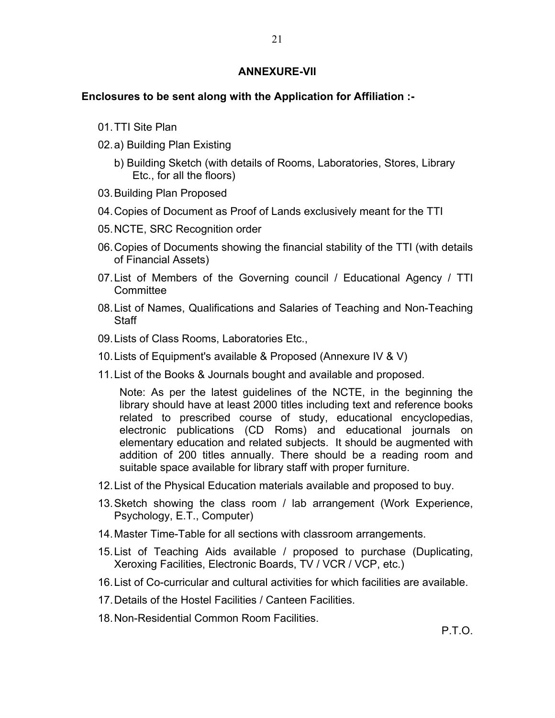#### **ANNEXURE-VII**

#### **Enclosures to be sent along with the Application for Affiliation :-**

- 01 TTI Site Plan
- 02. a) Building Plan Existing
	- b) Building Sketch (with details of Rooms, Laboratories, Stores, Library Etc., for all the floors)
- 03. Building Plan Proposed
- 04. Copies of Document as Proof of Lands exclusively meant for the TTI
- 05. NCTE, SRC Recognition order
- 06. Copies of Documents showing the financial stability of the TTI (with details of Financial Assets)
- 07. List of Members of the Governing council / Educational Agency / TTI **Committee**
- 08. List of Names, Qualifications and Salaries of Teaching and Non-Teaching **Staff**
- 09. Lists of Class Rooms, Laboratories Etc.,
- 10. Lists of Equipment's available & Proposed (Annexure IV & V)
- 11. List of the Books & Journals bought and available and proposed.

Note: As per the latest guidelines of the NCTE, in the beginning the library should have at least 2000 titles including text and reference books related to prescribed course of study, educational encyclopedias, electronic publications (CD Roms) and educational journals on elementary education and related subjects. It should be augmented with addition of 200 titles annually. There should be a reading room and suitable space available for library staff with proper furniture.

- 12. List of the Physical Education materials available and proposed to buy.
- 13. Sketch showing the class room / lab arrangement (Work Experience, Psychology, E.T., Computer)
- 14. Master Time-Table for all sections with classroom arrangements.
- 15. List of Teaching Aids available / proposed to purchase (Duplicating, Xeroxing Facilities, Electronic Boards, TV / VCR / VCP, etc.)
- 16. List of Co-curricular and cultural activities for which facilities are available.
- 17. Details of the Hostel Facilities / Canteen Facilities.
- 18. Non-Residential Common Room Facilities.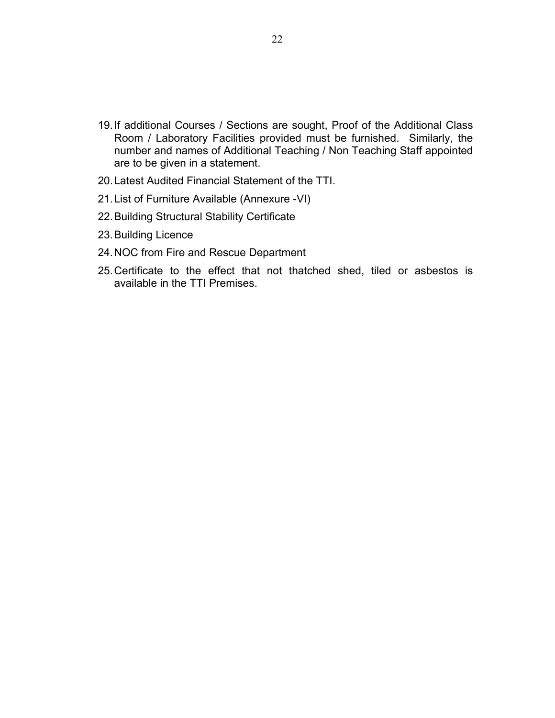- 19. If additional Courses / Sections are sought, Proof of the Additional Class Room / Laboratory Facilities provided must be furnished. Similarly, the number and names of Additional Teaching / Non Teaching Staff appointed are to be given in a statement.
- 20. Latest Audited Financial Statement of the TTI.
- 21. List of Furniture Available (Annexure -VI)
- 22. Building Structural Stability Certificate
- 23. Building Licence
- 24. NOC from Fire and Rescue Department
- 25. Certificate to the effect that not thatched shed, tiled or asbestos is available in the TTI Premises.